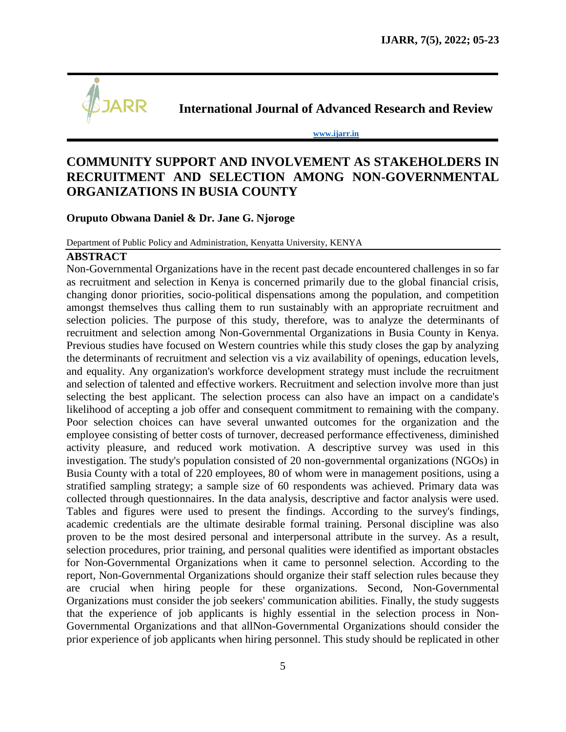

**International Journal of Advanced Research and Review**

**[www.ijarr.in](http://www.ijarr.in/)**

# **COMMUNITY SUPPORT AND INVOLVEMENT AS STAKEHOLDERS IN RECRUITMENT AND SELECTION AMONG NON-GOVERNMENTAL ORGANIZATIONS IN BUSIA COUNTY**

# **Oruputo Obwana Daniel & Dr. Jane G. Njoroge**

Department of Public Policy and Administration, Kenyatta University, KENYA

### **ABSTRACT**

Non-Governmental Organizations have in the recent past decade encountered challenges in so far as recruitment and selection in Kenya is concerned primarily due to the global financial crisis, changing donor priorities, socio-political dispensations among the population, and competition amongst themselves thus calling them to run sustainably with an appropriate recruitment and selection policies. The purpose of this study, therefore, was to analyze the determinants of recruitment and selection among Non-Governmental Organizations in Busia County in Kenya. Previous studies have focused on Western countries while this study closes the gap by analyzing the determinants of recruitment and selection vis a viz availability of openings, education levels, and equality. Any organization's workforce development strategy must include the recruitment and selection of talented and effective workers. Recruitment and selection involve more than just selecting the best applicant. The selection process can also have an impact on a candidate's likelihood of accepting a job offer and consequent commitment to remaining with the company. Poor selection choices can have several unwanted outcomes for the organization and the employee consisting of better costs of turnover, decreased performance effectiveness, diminished activity pleasure, and reduced work motivation. A descriptive survey was used in this investigation. The study's population consisted of 20 non-governmental organizations (NGOs) in Busia County with a total of 220 employees, 80 of whom were in management positions, using a stratified sampling strategy; a sample size of 60 respondents was achieved. Primary data was collected through questionnaires. In the data analysis, descriptive and factor analysis were used. Tables and figures were used to present the findings. According to the survey's findings, academic credentials are the ultimate desirable formal training. Personal discipline was also proven to be the most desired personal and interpersonal attribute in the survey. As a result, selection procedures, prior training, and personal qualities were identified as important obstacles for Non-Governmental Organizations when it came to personnel selection. According to the report, Non-Governmental Organizations should organize their staff selection rules because they are crucial when hiring people for these organizations. Second, Non-Governmental Organizations must consider the job seekers' communication abilities. Finally, the study suggests that the experience of job applicants is highly essential in the selection process in Non-Governmental Organizations and that allNon-Governmental Organizations should consider the prior experience of job applicants when hiring personnel. This study should be replicated in other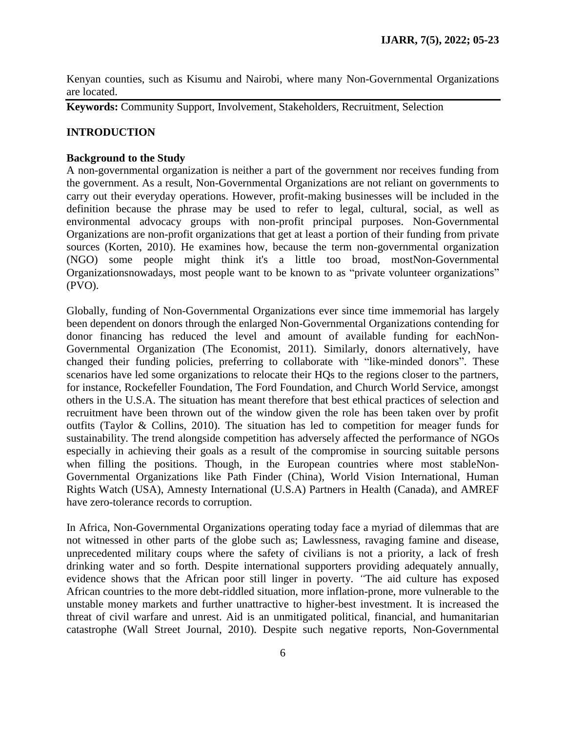Kenyan counties, such as Kisumu and Nairobi, where many Non-Governmental Organizations are located.

**Keywords:** Community Support, Involvement, Stakeholders, Recruitment, Selection

# **INTRODUCTION**

### **Background to the Study**

A non-governmental organization is neither a part of the government nor receives funding from the government. As a result, Non-Governmental Organizations are not reliant on governments to carry out their everyday operations. However, profit-making businesses will be included in the definition because the phrase may be used to refer to legal, cultural, social, as well as environmental advocacy groups with non-profit principal purposes. Non-Governmental Organizations are non-profit organizations that get at least a portion of their funding from private sources (Korten, 2010). He examines how, because the term non-governmental organization (NGO) some people might think it's a little too broad, mostNon-Governmental Organizationsnowadays, most people want to be known to as "private volunteer organizations" (PVO).

Globally, funding of Non-Governmental Organizations ever since time immemorial has largely been dependent on donors through the enlarged Non-Governmental Organizations contending for donor financing has reduced the level and amount of available funding for eachNon-Governmental Organization (The Economist, 2011). Similarly, donors alternatively, have changed their funding policies, preferring to collaborate with "like-minded donors". These scenarios have led some organizations to relocate their HQs to the regions closer to the partners, for instance, Rockefeller Foundation, The Ford Foundation, and Church World Service, amongst others in the U.S.A. The situation has meant therefore that best ethical practices of selection and recruitment have been thrown out of the window given the role has been taken over by profit outfits (Taylor & Collins, 2010). The situation has led to competition for meager funds for sustainability. The trend alongside competition has adversely affected the performance of NGOs especially in achieving their goals as a result of the compromise in sourcing suitable persons when filling the positions. Though, in the European countries where most stableNon-Governmental Organizations like Path Finder (China), World Vision International, Human Rights Watch (USA), Amnesty International (U.S.A) Partners in Health (Canada), and AMREF have zero-tolerance records to corruption.

In Africa, Non-Governmental Organizations operating today face a myriad of dilemmas that are not witnessed in other parts of the globe such as; Lawlessness, ravaging famine and disease, unprecedented military coups where the safety of civilians is not a priority, a lack of fresh drinking water and so forth. Despite international supporters providing adequately annually, evidence shows that the African poor still linger in poverty. *"*The aid culture has exposed African countries to the more debt-riddled situation, more inflation-prone, more vulnerable to the unstable money markets and further unattractive to higher-best investment. It is increased the threat of civil warfare and unrest. Aid is an unmitigated political, financial, and humanitarian catastrophe (Wall Street Journal, 2010). Despite such negative reports, Non-Governmental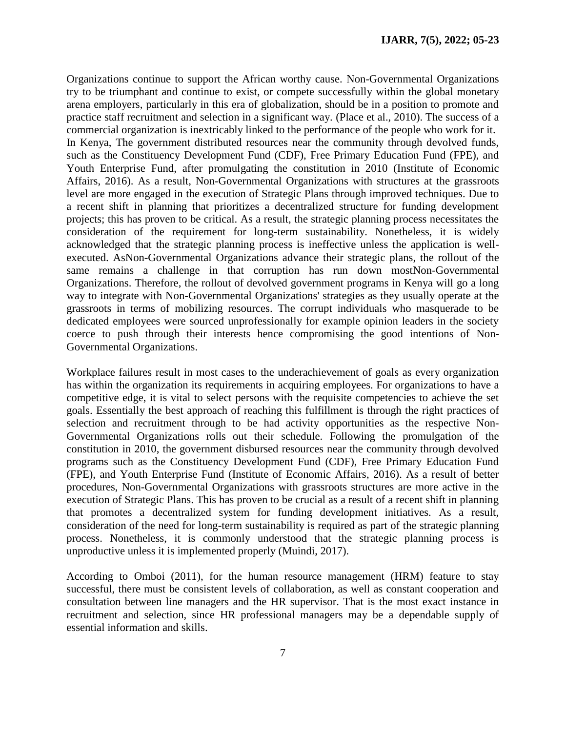Organizations continue to support the African worthy cause. Non-Governmental Organizations try to be triumphant and continue to exist, or compete successfully within the global monetary arena employers, particularly in this era of globalization, should be in a position to promote and practice staff recruitment and selection in a significant way. (Place et al., 2010). The success of a commercial organization is inextricably linked to the performance of the people who work for it. In Kenya, The government distributed resources near the community through devolved funds, such as the Constituency Development Fund (CDF), Free Primary Education Fund (FPE), and Youth Enterprise Fund, after promulgating the constitution in 2010 (Institute of Economic Affairs, 2016). As a result, Non-Governmental Organizations with structures at the grassroots level are more engaged in the execution of Strategic Plans through improved techniques. Due to a recent shift in planning that prioritizes a decentralized structure for funding development projects; this has proven to be critical. As a result, the strategic planning process necessitates the consideration of the requirement for long-term sustainability. Nonetheless, it is widely acknowledged that the strategic planning process is ineffective unless the application is wellexecuted. AsNon-Governmental Organizations advance their strategic plans, the rollout of the same remains a challenge in that corruption has run down mostNon-Governmental Organizations. Therefore, the rollout of devolved government programs in Kenya will go a long way to integrate with Non-Governmental Organizations' strategies as they usually operate at the grassroots in terms of mobilizing resources. The corrupt individuals who masquerade to be dedicated employees were sourced unprofessionally for example opinion leaders in the society coerce to push through their interests hence compromising the good intentions of Non-Governmental Organizations.

Workplace failures result in most cases to the underachievement of goals as every organization has within the organization its requirements in acquiring employees. For organizations to have a competitive edge, it is vital to select persons with the requisite competencies to achieve the set goals. Essentially the best approach of reaching this fulfillment is through the right practices of selection and recruitment through to be had activity opportunities as the respective Non-Governmental Organizations rolls out their schedule. Following the promulgation of the constitution in 2010, the government disbursed resources near the community through devolved programs such as the Constituency Development Fund (CDF), Free Primary Education Fund (FPE), and Youth Enterprise Fund (Institute of Economic Affairs, 2016). As a result of better procedures, Non-Governmental Organizations with grassroots structures are more active in the execution of Strategic Plans. This has proven to be crucial as a result of a recent shift in planning that promotes a decentralized system for funding development initiatives. As a result, consideration of the need for long-term sustainability is required as part of the strategic planning process. Nonetheless, it is commonly understood that the strategic planning process is unproductive unless it is implemented properly (Muindi, 2017).

According to Omboi (2011), for the human resource management (HRM) feature to stay successful, there must be consistent levels of collaboration, as well as constant cooperation and consultation between line managers and the HR supervisor. That is the most exact instance in recruitment and selection, since HR professional managers may be a dependable supply of essential information and skills.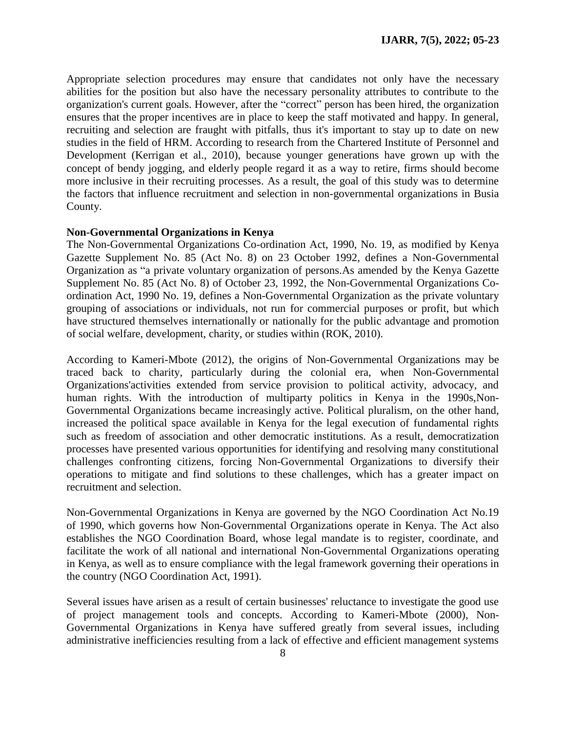Appropriate selection procedures may ensure that candidates not only have the necessary abilities for the position but also have the necessary personality attributes to contribute to the organization's current goals. However, after the "correct" person has been hired, the organization ensures that the proper incentives are in place to keep the staff motivated and happy. In general, recruiting and selection are fraught with pitfalls, thus it's important to stay up to date on new studies in the field of HRM. According to research from the Chartered Institute of Personnel and Development (Kerrigan et al., 2010), because younger generations have grown up with the concept of bendy jogging, and elderly people regard it as a way to retire, firms should become more inclusive in their recruiting processes. As a result, the goal of this study was to determine the factors that influence recruitment and selection in non-governmental organizations in Busia County.

#### **Non-Governmental Organizations in Kenya**

The Non-Governmental Organizations Co-ordination Act, 1990, No. 19, as modified by Kenya Gazette Supplement No. 85 (Act No. 8) on 23 October 1992, defines a Non-Governmental Organization as "a private voluntary organization of persons.As amended by the Kenya Gazette Supplement No. 85 (Act No. 8) of October 23, 1992, the Non-Governmental Organizations Coordination Act, 1990 No. 19, defines a Non-Governmental Organization as the private voluntary grouping of associations or individuals, not run for commercial purposes or profit, but which have structured themselves internationally or nationally for the public advantage and promotion of social welfare, development, charity, or studies within (ROK, 2010).

According to Kameri-Mbote (2012), the origins of Non-Governmental Organizations may be traced back to charity, particularly during the colonial era, when Non-Governmental Organizations'activities extended from service provision to political activity, advocacy, and human rights. With the introduction of multiparty politics in Kenya in the 1990s,Non-Governmental Organizations became increasingly active. Political pluralism, on the other hand, increased the political space available in Kenya for the legal execution of fundamental rights such as freedom of association and other democratic institutions. As a result, democratization processes have presented various opportunities for identifying and resolving many constitutional challenges confronting citizens, forcing Non-Governmental Organizations to diversify their operations to mitigate and find solutions to these challenges, which has a greater impact on recruitment and selection.

Non-Governmental Organizations in Kenya are governed by the NGO Coordination Act No.19 of 1990, which governs how Non-Governmental Organizations operate in Kenya. The Act also establishes the NGO Coordination Board, whose legal mandate is to register, coordinate, and facilitate the work of all national and international Non-Governmental Organizations operating in Kenya, as well as to ensure compliance with the legal framework governing their operations in the country (NGO Coordination Act, 1991).

Several issues have arisen as a result of certain businesses' reluctance to investigate the good use of project management tools and concepts. According to Kameri-Mbote (2000), Non-Governmental Organizations in Kenya have suffered greatly from several issues, including administrative inefficiencies resulting from a lack of effective and efficient management systems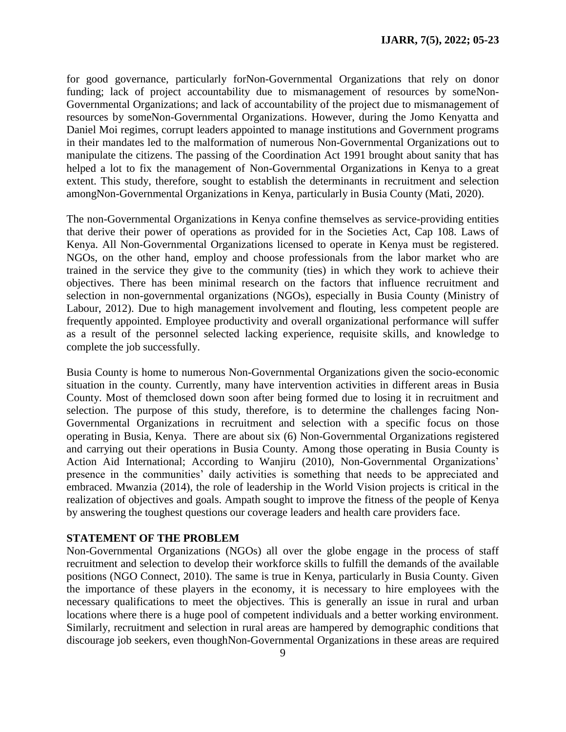for good governance, particularly forNon-Governmental Organizations that rely on donor funding; lack of project accountability due to mismanagement of resources by someNon-Governmental Organizations; and lack of accountability of the project due to mismanagement of resources by someNon-Governmental Organizations. However, during the Jomo Kenyatta and Daniel Moi regimes, corrupt leaders appointed to manage institutions and Government programs in their mandates led to the malformation of numerous Non-Governmental Organizations out to manipulate the citizens. The passing of the Coordination Act 1991 brought about sanity that has helped a lot to fix the management of Non-Governmental Organizations in Kenya to a great extent. This study, therefore, sought to establish the determinants in recruitment and selection amongNon-Governmental Organizations in Kenya, particularly in Busia County (Mati, 2020).

The non-Governmental Organizations in Kenya confine themselves as service-providing entities that derive their power of operations as provided for in the Societies Act, Cap 108. Laws of Kenya. All Non-Governmental Organizations licensed to operate in Kenya must be registered. NGOs, on the other hand, employ and choose professionals from the labor market who are trained in the service they give to the community (ties) in which they work to achieve their objectives. There has been minimal research on the factors that influence recruitment and selection in non-governmental organizations (NGOs), especially in Busia County (Ministry of Labour, 2012). Due to high management involvement and flouting, less competent people are frequently appointed. Employee productivity and overall organizational performance will suffer as a result of the personnel selected lacking experience, requisite skills, and knowledge to complete the job successfully.

Busia County is home to numerous Non-Governmental Organizations given the socio-economic situation in the county. Currently, many have intervention activities in different areas in Busia County. Most of themclosed down soon after being formed due to losing it in recruitment and selection. The purpose of this study, therefore, is to determine the challenges facing Non-Governmental Organizations in recruitment and selection with a specific focus on those operating in Busia, Kenya. There are about six (6) Non-Governmental Organizations registered and carrying out their operations in Busia County. Among those operating in Busia County is Action Aid International; According to Wanjiru (2010), Non-Governmental Organizations' presence in the communities' daily activities is something that needs to be appreciated and embraced. Mwanzia (2014), the role of leadership in the World Vision projects is critical in the realization of objectives and goals. Ampath sought to improve the fitness of the people of Kenya by answering the toughest questions our coverage leaders and health care providers face.

#### **STATEMENT OF THE PROBLEM**

Non-Governmental Organizations (NGOs) all over the globe engage in the process of staff recruitment and selection to develop their workforce skills to fulfill the demands of the available positions (NGO Connect, 2010). The same is true in Kenya, particularly in Busia County. Given the importance of these players in the economy, it is necessary to hire employees with the necessary qualifications to meet the objectives. This is generally an issue in rural and urban locations where there is a huge pool of competent individuals and a better working environment. Similarly, recruitment and selection in rural areas are hampered by demographic conditions that discourage job seekers, even thoughNon-Governmental Organizations in these areas are required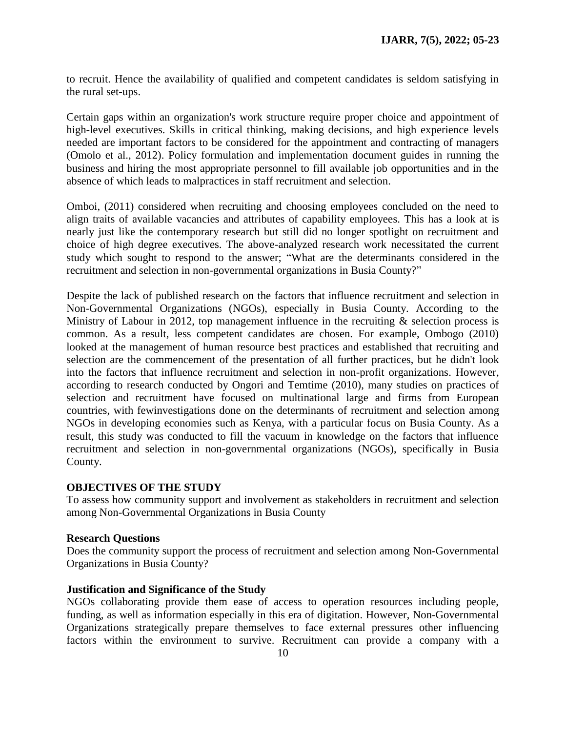to recruit. Hence the availability of qualified and competent candidates is seldom satisfying in the rural set-ups.

Certain gaps within an organization's work structure require proper choice and appointment of high-level executives. Skills in critical thinking, making decisions, and high experience levels needed are important factors to be considered for the appointment and contracting of managers (Omolo et al., 2012). Policy formulation and implementation document guides in running the business and hiring the most appropriate personnel to fill available job opportunities and in the absence of which leads to malpractices in staff recruitment and selection.

Omboi, (2011) considered when recruiting and choosing employees concluded on the need to align traits of available vacancies and attributes of capability employees. This has a look at is nearly just like the contemporary research but still did no longer spotlight on recruitment and choice of high degree executives. The above-analyzed research work necessitated the current study which sought to respond to the answer; "What are the determinants considered in the recruitment and selection in non-governmental organizations in Busia County?"

Despite the lack of published research on the factors that influence recruitment and selection in Non-Governmental Organizations (NGOs), especially in Busia County. According to the Ministry of Labour in 2012, top management influence in the recruiting  $\&$  selection process is common. As a result, less competent candidates are chosen. For example, Ombogo (2010) looked at the management of human resource best practices and established that recruiting and selection are the commencement of the presentation of all further practices, but he didn't look into the factors that influence recruitment and selection in non-profit organizations. However, according to research conducted by Ongori and Temtime (2010), many studies on practices of selection and recruitment have focused on multinational large and firms from European countries, with fewinvestigations done on the determinants of recruitment and selection among NGOs in developing economies such as Kenya, with a particular focus on Busia County. As a result, this study was conducted to fill the vacuum in knowledge on the factors that influence recruitment and selection in non-governmental organizations (NGOs), specifically in Busia County.

### **OBJECTIVES OF THE STUDY**

To assess how community support and involvement as stakeholders in recruitment and selection among Non-Governmental Organizations in Busia County

### **Research Questions**

Does the community support the process of recruitment and selection among Non-Governmental Organizations in Busia County?

# **Justification and Significance of the Study**

NGOs collaborating provide them ease of access to operation resources including people, funding, as well as information especially in this era of digitation. However, Non-Governmental Organizations strategically prepare themselves to face external pressures other influencing factors within the environment to survive. Recruitment can provide a company with a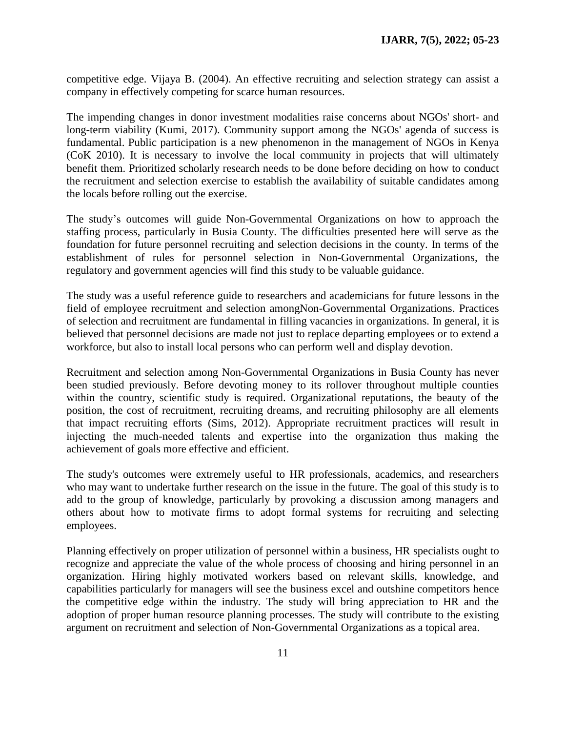competitive edge. Vijaya B. (2004). An effective recruiting and selection strategy can assist a company in effectively competing for scarce human resources.

The impending changes in donor investment modalities raise concerns about NGOs' short- and long-term viability (Kumi, 2017). Community support among the NGOs' agenda of success is fundamental. Public participation is a new phenomenon in the management of NGOs in Kenya (CoK 2010). It is necessary to involve the local community in projects that will ultimately benefit them. Prioritized scholarly research needs to be done before deciding on how to conduct the recruitment and selection exercise to establish the availability of suitable candidates among the locals before rolling out the exercise.

The study's outcomes will guide Non-Governmental Organizations on how to approach the staffing process, particularly in Busia County. The difficulties presented here will serve as the foundation for future personnel recruiting and selection decisions in the county. In terms of the establishment of rules for personnel selection in Non-Governmental Organizations, the regulatory and government agencies will find this study to be valuable guidance.

The study was a useful reference guide to researchers and academicians for future lessons in the field of employee recruitment and selection amongNon-Governmental Organizations. Practices of selection and recruitment are fundamental in filling vacancies in organizations. In general, it is believed that personnel decisions are made not just to replace departing employees or to extend a workforce, but also to install local persons who can perform well and display devotion.

Recruitment and selection among Non-Governmental Organizations in Busia County has never been studied previously. Before devoting money to its rollover throughout multiple counties within the country, scientific study is required. Organizational reputations, the beauty of the position, the cost of recruitment, recruiting dreams, and recruiting philosophy are all elements that impact recruiting efforts (Sims, 2012). Appropriate recruitment practices will result in injecting the much-needed talents and expertise into the organization thus making the achievement of goals more effective and efficient.

The study's outcomes were extremely useful to HR professionals, academics, and researchers who may want to undertake further research on the issue in the future. The goal of this study is to add to the group of knowledge, particularly by provoking a discussion among managers and others about how to motivate firms to adopt formal systems for recruiting and selecting employees.

Planning effectively on proper utilization of personnel within a business, HR specialists ought to recognize and appreciate the value of the whole process of choosing and hiring personnel in an organization. Hiring highly motivated workers based on relevant skills, knowledge, and capabilities particularly for managers will see the business excel and outshine competitors hence the competitive edge within the industry. The study will bring appreciation to HR and the adoption of proper human resource planning processes. The study will contribute to the existing argument on recruitment and selection of Non-Governmental Organizations as a topical area.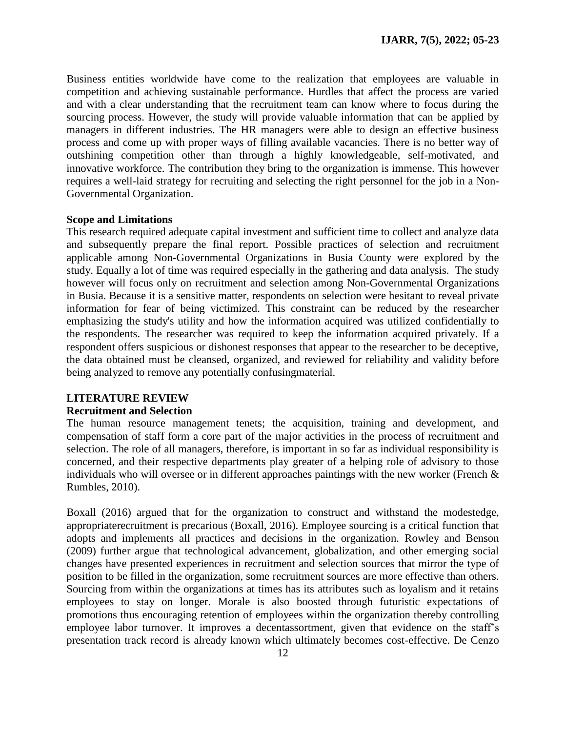Business entities worldwide have come to the realization that employees are valuable in competition and achieving sustainable performance. Hurdles that affect the process are varied and with a clear understanding that the recruitment team can know where to focus during the sourcing process. However, the study will provide valuable information that can be applied by managers in different industries. The HR managers were able to design an effective business process and come up with proper ways of filling available vacancies. There is no better way of outshining competition other than through a highly knowledgeable, self-motivated, and innovative workforce. The contribution they bring to the organization is immense. This however requires a well-laid strategy for recruiting and selecting the right personnel for the job in a Non-Governmental Organization.

#### **Scope and Limitations**

This research required adequate capital investment and sufficient time to collect and analyze data and subsequently prepare the final report. Possible practices of selection and recruitment applicable among Non-Governmental Organizations in Busia County were explored by the study. Equally a lot of time was required especially in the gathering and data analysis. The study however will focus only on recruitment and selection among Non-Governmental Organizations in Busia. Because it is a sensitive matter, respondents on selection were hesitant to reveal private information for fear of being victimized. This constraint can be reduced by the researcher emphasizing the study's utility and how the information acquired was utilized confidentially to the respondents. The researcher was required to keep the information acquired privately. If a respondent offers suspicious or dishonest responses that appear to the researcher to be deceptive, the data obtained must be cleansed, organized, and reviewed for reliability and validity before being analyzed to remove any potentially confusingmaterial.

### **LITERATURE REVIEW**

#### **Recruitment and Selection**

The human resource management tenets; the acquisition, training and development, and compensation of staff form a core part of the major activities in the process of recruitment and selection. The role of all managers, therefore, is important in so far as individual responsibility is concerned, and their respective departments play greater of a helping role of advisory to those individuals who will oversee or in different approaches paintings with the new worker (French & Rumbles, 2010).

Boxall (2016) argued that for the organization to construct and withstand the modestedge, appropriaterecruitment is precarious (Boxall, 2016). Employee sourcing is a critical function that adopts and implements all practices and decisions in the organization. Rowley and Benson (2009) further argue that technological advancement, globalization, and other emerging social changes have presented experiences in recruitment and selection sources that mirror the type of position to be filled in the organization, some recruitment sources are more effective than others. Sourcing from within the organizations at times has its attributes such as loyalism and it retains employees to stay on longer. Morale is also boosted through futuristic expectations of promotions thus encouraging retention of employees within the organization thereby controlling employee labor turnover. It improves a decentassortment, given that evidence on the staff's presentation track record is already known which ultimately becomes cost-effective. De Cenzo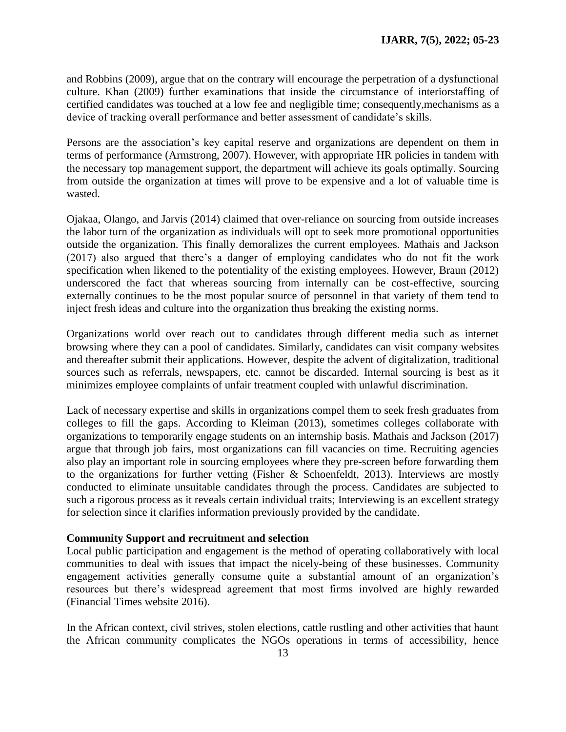and Robbins (2009), argue that on the contrary will encourage the perpetration of a dysfunctional culture. Khan (2009) further examinations that inside the circumstance of interiorstaffing of certified candidates was touched at a low fee and negligible time; consequently,mechanisms as a device of tracking overall performance and better assessment of candidate's skills.

Persons are the association's key capital reserve and organizations are dependent on them in terms of performance (Armstrong, 2007). However, with appropriate HR policies in tandem with the necessary top management support, the department will achieve its goals optimally. Sourcing from outside the organization at times will prove to be expensive and a lot of valuable time is wasted.

Ojakaa, Olango, and Jarvis (2014) claimed that over-reliance on sourcing from outside increases the labor turn of the organization as individuals will opt to seek more promotional opportunities outside the organization. This finally demoralizes the current employees. Mathais and Jackson (2017) also argued that there's a danger of employing candidates who do not fit the work specification when likened to the potentiality of the existing employees. However, Braun (2012) underscored the fact that whereas sourcing from internally can be cost-effective, sourcing externally continues to be the most popular source of personnel in that variety of them tend to inject fresh ideas and culture into the organization thus breaking the existing norms.

Organizations world over reach out to candidates through different media such as internet browsing where they can a pool of candidates. Similarly, candidates can visit company websites and thereafter submit their applications. However, despite the advent of digitalization, traditional sources such as referrals, newspapers, etc. cannot be discarded. Internal sourcing is best as it minimizes employee complaints of unfair treatment coupled with unlawful discrimination.

Lack of necessary expertise and skills in organizations compel them to seek fresh graduates from colleges to fill the gaps. According to Kleiman (2013), sometimes colleges collaborate with organizations to temporarily engage students on an internship basis. Mathais and Jackson (2017) argue that through job fairs, most organizations can fill vacancies on time. Recruiting agencies also play an important role in sourcing employees where they pre-screen before forwarding them to the organizations for further vetting (Fisher & Schoenfeldt, 2013). Interviews are mostly conducted to eliminate unsuitable candidates through the process. Candidates are subjected to such a rigorous process as it reveals certain individual traits; Interviewing is an excellent strategy for selection since it clarifies information previously provided by the candidate.

### **Community Support and recruitment and selection**

Local public participation and engagement is the method of operating collaboratively with local communities to deal with issues that impact the nicely-being of these businesses. Community engagement activities generally consume quite a substantial amount of an organization's resources but there's widespread agreement that most firms involved are highly rewarded (Financial Times website 2016).

In the African context, civil strives, stolen elections, cattle rustling and other activities that haunt the African community complicates the NGOs operations in terms of accessibility, hence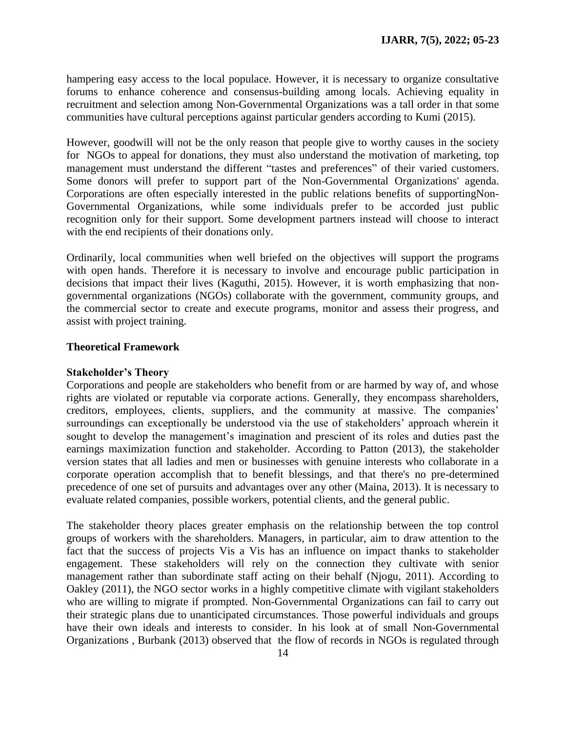hampering easy access to the local populace. However, it is necessary to organize consultative forums to enhance coherence and consensus-building among locals. Achieving equality in recruitment and selection among Non-Governmental Organizations was a tall order in that some communities have cultural perceptions against particular genders according to Kumi (2015).

However, goodwill will not be the only reason that people give to worthy causes in the society for NGOs to appeal for donations, they must also understand the motivation of marketing, top management must understand the different "tastes and preferences" of their varied customers. Some donors will prefer to support part of the Non-Governmental Organizations' agenda. Corporations are often especially interested in the public relations benefits of supportingNon-Governmental Organizations, while some individuals prefer to be accorded just public recognition only for their support. Some development partners instead will choose to interact with the end recipients of their donations only.

Ordinarily, local communities when well briefed on the objectives will support the programs with open hands. Therefore it is necessary to involve and encourage public participation in decisions that impact their lives (Kaguthi, 2015). However, it is worth emphasizing that nongovernmental organizations (NGOs) collaborate with the government, community groups, and the commercial sector to create and execute programs, monitor and assess their progress, and assist with project training.

### **Theoretical Framework**

### **Stakeholder's Theory**

Corporations and people are stakeholders who benefit from or are harmed by way of, and whose rights are violated or reputable via corporate actions. Generally, they encompass shareholders, creditors, employees, clients, suppliers, and the community at massive. The companies' surroundings can exceptionally be understood via the use of stakeholders' approach wherein it sought to develop the management's imagination and prescient of its roles and duties past the earnings maximization function and stakeholder. According to Patton (2013), the stakeholder version states that all ladies and men or businesses with genuine interests who collaborate in a corporate operation accomplish that to benefit blessings, and that there's no pre-determined precedence of one set of pursuits and advantages over any other (Maina, 2013). It is necessary to evaluate related companies, possible workers, potential clients, and the general public.

The stakeholder theory places greater emphasis on the relationship between the top control groups of workers with the shareholders. Managers, in particular, aim to draw attention to the fact that the success of projects Vis a Vis has an influence on impact thanks to stakeholder engagement. These stakeholders will rely on the connection they cultivate with senior management rather than subordinate staff acting on their behalf (Njogu, 2011). According to Oakley (2011), the NGO sector works in a highly competitive climate with vigilant stakeholders who are willing to migrate if prompted. Non-Governmental Organizations can fail to carry out their strategic plans due to unanticipated circumstances. Those powerful individuals and groups have their own ideals and interests to consider. In his look at of small Non-Governmental Organizations , Burbank (2013) observed that the flow of records in NGOs is regulated through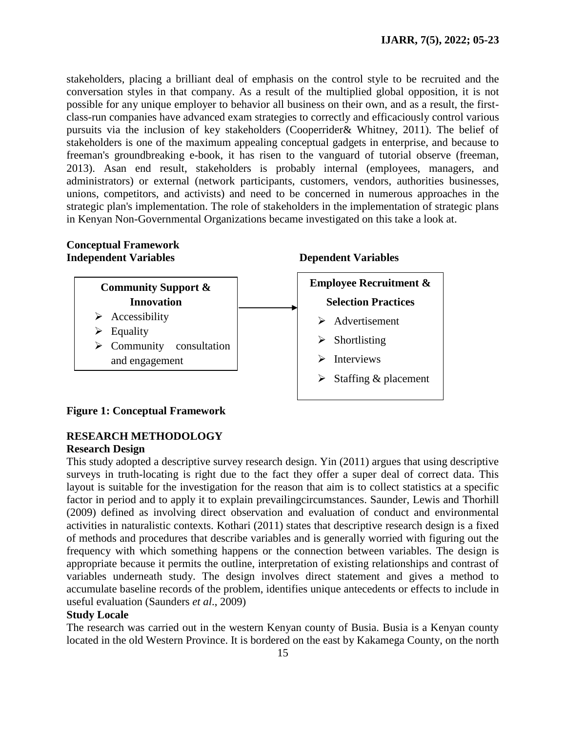stakeholders, placing a brilliant deal of emphasis on the control style to be recruited and the conversation styles in that company. As a result of the multiplied global opposition, it is not possible for any unique employer to behavior all business on their own, and as a result, the firstclass-run companies have advanced exam strategies to correctly and efficaciously control various pursuits via the inclusion of key stakeholders (Cooperrider& Whitney, 2011). The belief of stakeholders is one of the maximum appealing conceptual gadgets in enterprise, and because to freeman's groundbreaking e-book, it has risen to the vanguard of tutorial observe (freeman, 2013). Asan end result, stakeholders is probably internal (employees, managers, and administrators) or external (network participants, customers, vendors, authorities businesses, unions, competitors, and activists) and need to be concerned in numerous approaches in the strategic plan's implementation. The role of stakeholders in the implementation of strategic plans in Kenyan Non-Governmental Organizations became investigated on this take a look at.

# **Conceptual Framework Independent Variables Dependent Variables**





# **Figure 1: Conceptual Framework**

# **RESEARCH METHODOLOGY**

### **Research Design**

This study adopted a descriptive survey research design. Yin (2011) argues that using descriptive surveys in truth-locating is right due to the fact they offer a super deal of correct data. This layout is suitable for the investigation for the reason that aim is to collect statistics at a specific factor in period and to apply it to explain prevailingcircumstances. Saunder, Lewis and Thorhill (2009) defined as involving direct observation and evaluation of conduct and environmental activities in naturalistic contexts. Kothari (2011) states that descriptive research design is a fixed of methods and procedures that describe variables and is generally worried with figuring out the frequency with which something happens or the connection between variables. The design is appropriate because it permits the outline, interpretation of existing relationships and contrast of variables underneath study. The design involves direct statement and gives a method to accumulate baseline records of the problem, identifies unique antecedents or effects to include in useful evaluation (Saunders *et al*., 2009)

# **Study Locale**

The research was carried out in the western Kenyan county of Busia. Busia is a Kenyan county located in the old Western Province. It is bordered on the east by Kakamega County, on the north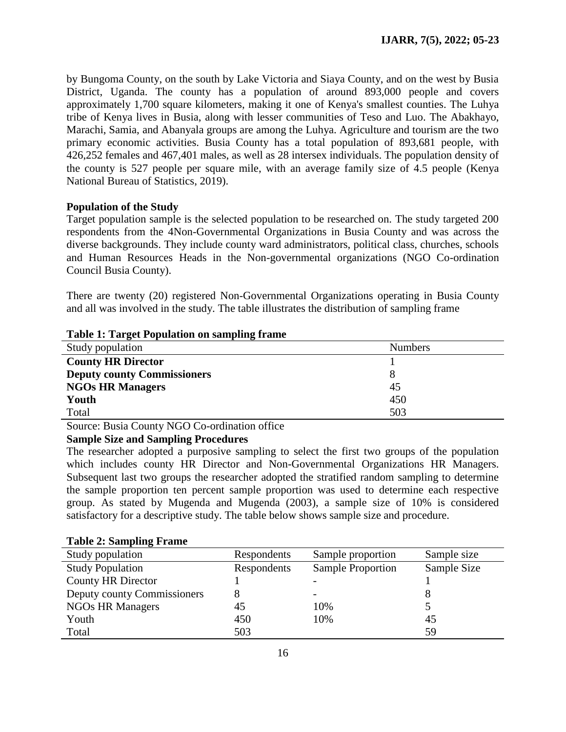by Bungoma County, on the south by Lake Victoria and Siaya County, and on the west by Busia District, Uganda. The county has a population of around 893,000 people and covers approximately 1,700 square kilometers, making it one of Kenya's smallest counties. The Luhya tribe of Kenya lives in Busia, along with lesser communities of Teso and Luo. The Abakhayo, Marachi, Samia, and Abanyala groups are among the Luhya. Agriculture and tourism are the two primary economic activities. Busia County has a total population of 893,681 people, with 426,252 females and 467,401 males, as well as 28 intersex individuals. The population density of the county is 527 people per square mile, with an average family size of 4.5 people (Kenya National Bureau of Statistics, 2019).

# **Population of the Study**

Target population sample is the selected population to be researched on. The study targeted 200 respondents from the 4Non-Governmental Organizations in Busia County and was across the diverse backgrounds. They include county ward administrators, political class, churches, schools and Human Resources Heads in the Non-governmental organizations (NGO Co-ordination Council Busia County).

There are twenty (20) registered Non-Governmental Organizations operating in Busia County and all was involved in the study. The table illustrates the distribution of sampling frame

| Table 1. Tal get I optuation on sampling H anic |                |
|-------------------------------------------------|----------------|
| Study population                                | <b>Numbers</b> |
| <b>County HR Director</b>                       |                |
| <b>Deputy county Commissioners</b>              |                |
| <b>NGOs HR Managers</b>                         | 45             |
| Youth                                           | 450            |
| Total                                           | 503            |

# **Table 1: Target Population on sampling frame**

Source: Busia County NGO Co-ordination office

# **Sample Size and Sampling Procedures**

The researcher adopted a purposive sampling to select the first two groups of the population which includes county HR Director and Non-Governmental Organizations HR Managers. Subsequent last two groups the researcher adopted the stratified random sampling to determine the sample proportion ten percent sample proportion was used to determine each respective group. As stated by Mugenda and Mugenda (2003), a sample size of 10% is considered satisfactory for a descriptive study. The table below shows sample size and procedure.

| <b>Lavit 4. Sampling Flame</b> |             |                          |             |
|--------------------------------|-------------|--------------------------|-------------|
| Study population               | Respondents | Sample proportion        | Sample size |
| <b>Study Population</b>        | Respondents | <b>Sample Proportion</b> | Sample Size |
| <b>County HR Director</b>      |             |                          |             |
| Deputy county Commissioners    |             |                          |             |
| <b>NGOs HR Managers</b>        | 45          | 10%                      |             |
| Youth                          | 450         | 10%                      | 45          |
| Total                          | 503         |                          | 59          |

# **Table 2: Sampling Frame**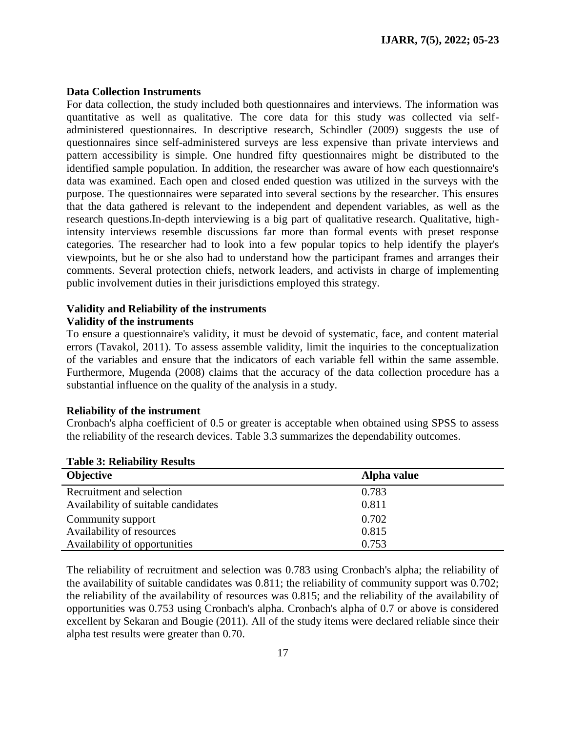#### **Data Collection Instruments**

For data collection, the study included both questionnaires and interviews. The information was quantitative as well as qualitative. The core data for this study was collected via selfadministered questionnaires. In descriptive research, Schindler (2009) suggests the use of questionnaires since self-administered surveys are less expensive than private interviews and pattern accessibility is simple. One hundred fifty questionnaires might be distributed to the identified sample population. In addition, the researcher was aware of how each questionnaire's data was examined. Each open and closed ended question was utilized in the surveys with the purpose. The questionnaires were separated into several sections by the researcher. This ensures that the data gathered is relevant to the independent and dependent variables, as well as the research questions.In-depth interviewing is a big part of qualitative research. Qualitative, highintensity interviews resemble discussions far more than formal events with preset response categories. The researcher had to look into a few popular topics to help identify the player's viewpoints, but he or she also had to understand how the participant frames and arranges their comments. Several protection chiefs, network leaders, and activists in charge of implementing public involvement duties in their jurisdictions employed this strategy.

#### **Validity and Reliability of the instruments Validity of the instruments**

To ensure a questionnaire's validity, it must be devoid of systematic, face, and content material errors (Tavakol, 2011). To assess assemble validity, limit the inquiries to the conceptualization of the variables and ensure that the indicators of each variable fell within the same assemble. Furthermore, Mugenda (2008) claims that the accuracy of the data collection procedure has a substantial influence on the quality of the analysis in a study.

#### **Reliability of the instrument**

Cronbach's alpha coefficient of 0.5 or greater is acceptable when obtained using SPSS to assess the reliability of the research devices. Table 3.3 summarizes the dependability outcomes.

| <b>Objective</b>                    | Alpha value |
|-------------------------------------|-------------|
| Recruitment and selection           | 0.783       |
| Availability of suitable candidates | 0.811       |
| Community support                   | 0.702       |
| Availability of resources           | 0.815       |
| Availability of opportunities       | 0.753       |

#### **Table 3: Reliability Results**

The reliability of recruitment and selection was 0.783 using Cronbach's alpha; the reliability of the availability of suitable candidates was 0.811; the reliability of community support was 0.702; the reliability of the availability of resources was 0.815; and the reliability of the availability of opportunities was 0.753 using Cronbach's alpha. Cronbach's alpha of 0.7 or above is considered excellent by Sekaran and Bougie (2011). All of the study items were declared reliable since their alpha test results were greater than 0.70.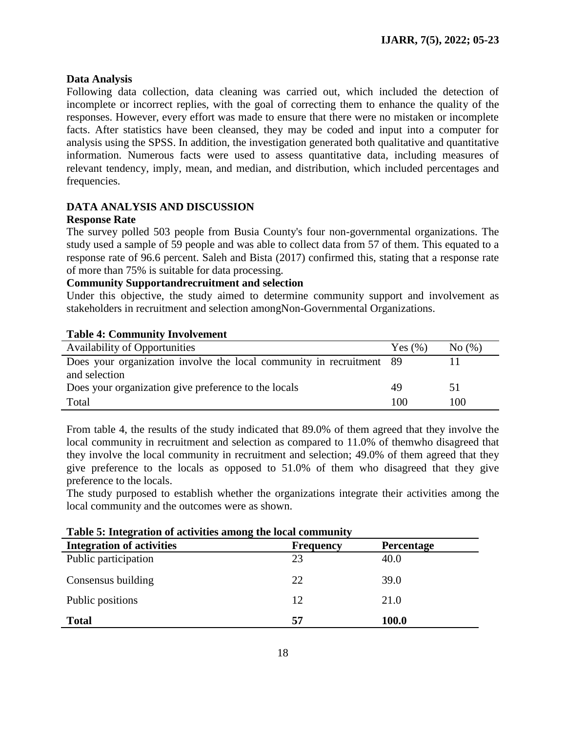# **Data Analysis**

Following data collection, data cleaning was carried out, which included the detection of incomplete or incorrect replies, with the goal of correcting them to enhance the quality of the responses. However, every effort was made to ensure that there were no mistaken or incomplete facts. After statistics have been cleansed, they may be coded and input into a computer for analysis using the SPSS. In addition, the investigation generated both qualitative and quantitative information. Numerous facts were used to assess quantitative data, including measures of relevant tendency, imply, mean, and median, and distribution, which included percentages and frequencies.

# **DATA ANALYSIS AND DISCUSSION**

# **Response Rate**

The survey polled 503 people from Busia County's four non-governmental organizations. The study used a sample of 59 people and was able to collect data from 57 of them. This equated to a response rate of 96.6 percent. Saleh and Bista (2017) confirmed this, stating that a response rate of more than 75% is suitable for data processing.

# **Community Supportandrecruitment and selection**

Under this objective, the study aimed to determine community support and involvement as stakeholders in recruitment and selection amongNon-Governmental Organizations.

# **Table 4: Community Involvement**

| <b>Availability of Opportunities</b>                                 | Yes $(\% )$ | No(%) |
|----------------------------------------------------------------------|-------------|-------|
| Does your organization involve the local community in recruitment 89 |             |       |
| and selection                                                        |             |       |
| Does your organization give preference to the locals                 | 49          | 5 I   |
| Total                                                                | 100         | 100   |

From table 4, the results of the study indicated that 89.0% of them agreed that they involve the local community in recruitment and selection as compared to 11.0% of themwho disagreed that they involve the local community in recruitment and selection; 49.0% of them agreed that they give preference to the locals as opposed to 51.0% of them who disagreed that they give preference to the locals.

The study purposed to establish whether the organizations integrate their activities among the local community and the outcomes were as shown.

| Table 5. HRCgraugh of activities allong the local community |                  |                   |  |  |  |  |
|-------------------------------------------------------------|------------------|-------------------|--|--|--|--|
| <b>Integration of activities</b>                            | <b>Frequency</b> | <b>Percentage</b> |  |  |  |  |
| Public participation                                        | 23               | 40.0              |  |  |  |  |
| Consensus building                                          | 22               | 39.0              |  |  |  |  |
| Public positions                                            | 12               | 21.0              |  |  |  |  |
| <b>Total</b>                                                | 57               | 100.0             |  |  |  |  |

# **Table 5: Integration of activities among the local community**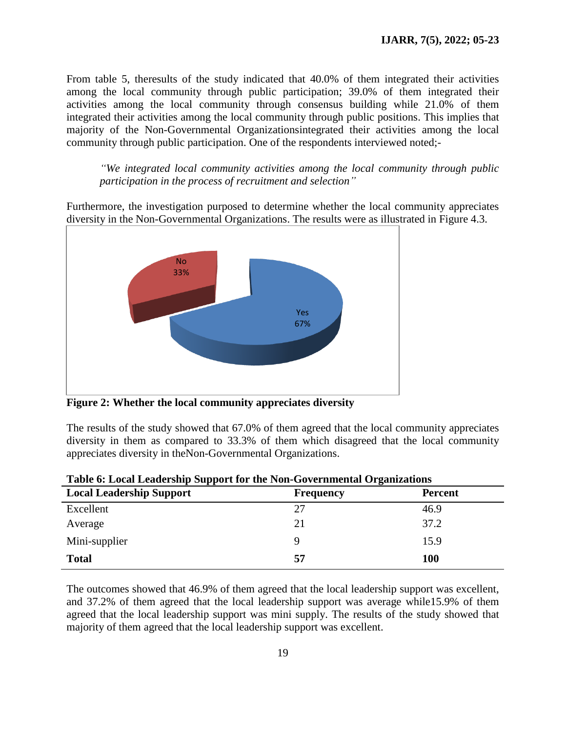From table 5, theresults of the study indicated that 40.0% of them integrated their activities among the local community through public participation; 39.0% of them integrated their activities among the local community through consensus building while 21.0% of them integrated their activities among the local community through public positions. This implies that majority of the Non-Governmental Organizationsintegrated their activities among the local community through public participation. One of the respondents interviewed noted;-

*"We integrated local community activities among the local community through public participation in the process of recruitment and selection"*

Furthermore, the investigation purposed to determine whether the local community appreciates diversity in the Non-Governmental Organizations. The results were as illustrated in Figure 4.3.



**Figure 2: Whether the local community appreciates diversity**

The results of the study showed that 67.0% of them agreed that the local community appreciates diversity in them as compared to 33.3% of them which disagreed that the local community appreciates diversity in theNon-Governmental Organizations.

| Tuble of Eocal Ecuaciónip Duppoletor and Foll Governmental Organizations |                  |                |  |  |  |  |  |
|--------------------------------------------------------------------------|------------------|----------------|--|--|--|--|--|
| <b>Local Leadership Support</b>                                          | <b>Frequency</b> | <b>Percent</b> |  |  |  |  |  |
| Excellent                                                                | 27               | 46.9           |  |  |  |  |  |
| Average                                                                  | 21               | 37.2           |  |  |  |  |  |
| Mini-supplier                                                            |                  | 15.9           |  |  |  |  |  |
| <b>Total</b>                                                             | 57               | <b>100</b>     |  |  |  |  |  |

The outcomes showed that 46.9% of them agreed that the local leadership support was excellent, and 37.2% of them agreed that the local leadership support was average while15.9% of them agreed that the local leadership support was mini supply. The results of the study showed that majority of them agreed that the local leadership support was excellent.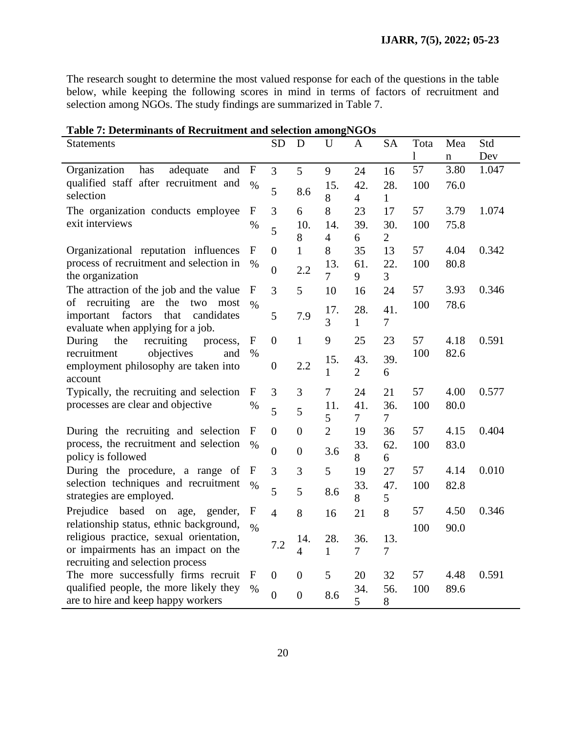The research sought to determine the most valued response for each of the questions in the table below, while keeping the following scores in mind in terms of factors of recruitment and selection among NGOs. The study findings are summarized in Table 7.

| Table 7: Determinants of Recruitment and selection amongNGOs                   |                  |                  |                  |                |                |                |              |      |       |
|--------------------------------------------------------------------------------|------------------|------------------|------------------|----------------|----------------|----------------|--------------|------|-------|
| Statements                                                                     |                  | <b>SD</b>        | D                | $\mathbf U$    | A              | <b>SA</b>      | Tota         | Mea  | Std   |
|                                                                                |                  |                  |                  |                |                |                | $\mathbf{l}$ | n    | Dev   |
| has<br>adequate<br>Organization<br>and                                         | $\mathbf F$      | $\overline{3}$   | 5                | 9              | 24             | 16             | 57           | 3.80 | 1.047 |
| qualified staff after recruitment and                                          | $\frac{0}{0}$    |                  |                  | 15.            | 42.            | 28.            | 100          | 76.0 |       |
| selection                                                                      |                  | 5                | 8.6              | 8              | $\overline{4}$ | 1              |              |      |       |
| The organization conducts employee                                             | $\boldsymbol{F}$ | 3                | 6                | 8              | 23             | 17             | 57           | 3.79 | 1.074 |
| exit interviews                                                                | $\%$             | 5                | 10.              | 14.            | 39.            | 30.            | 100          | 75.8 |       |
|                                                                                |                  |                  | 8                | $\overline{4}$ | 6              | $\overline{2}$ |              |      |       |
| Organizational reputation influences                                           | $\mathbf{F}$     | $\boldsymbol{0}$ | $\mathbf{1}$     | 8              | 35             | 13             | 57           | 4.04 | 0.342 |
| process of recruitment and selection in                                        | $\%$             | $\boldsymbol{0}$ | 2.2              | 13.            | 61.            | 22.            | 100          | 80.8 |       |
| the organization                                                               |                  |                  |                  | $\overline{7}$ | 9              | 3              |              |      |       |
| The attraction of the job and the value                                        | F                | 3                | 5                | 10             | 16             | 24             | 57           | 3.93 | 0.346 |
| of recruiting are the<br>two<br>most                                           | $\frac{0}{0}$    |                  |                  | 17.            | 28.            | 41.            | 100          | 78.6 |       |
| important factors<br>that<br>candidates<br>evaluate when applying for a job.   |                  | 5                | 7.9              | 3              | $\mathbf{1}$   | $\overline{7}$ |              |      |       |
| the<br>recruiting<br>During<br>process,                                        | F                | $\boldsymbol{0}$ | $\mathbf{1}$     | 9              | 25             | 23             | 57           | 4.18 | 0.591 |
| objectives<br>recruitment<br>and                                               | $\%$             |                  |                  |                |                |                | 100          | 82.6 |       |
| employment philosophy are taken into                                           |                  | $\boldsymbol{0}$ | 2.2              | 15.            | 43.            | 39.            |              |      |       |
| account                                                                        |                  |                  |                  | $\mathbf{1}$   | $\overline{2}$ | 6              |              |      |       |
| Typically, the recruiting and selection                                        | $\mathbf{F}$     | 3                | 3                | 7              | 24             | 21             | 57           | 4.00 | 0.577 |
| processes are clear and objective                                              | $\%$             | 5                | 5                | 11.            | 41.            | 36.            | 100          | 80.0 |       |
|                                                                                |                  |                  |                  | 5              | $\tau$         | $\tau$         |              |      |       |
| During the recruiting and selection                                            | F                | $\boldsymbol{0}$ | $\overline{0}$   | $\overline{2}$ | 19             | 36             | 57           | 4.15 | 0.404 |
| process, the recruitment and selection                                         | $\%$             | $\overline{0}$   | $\overline{0}$   | 3.6            | 33.            | 62.            | 100          | 83.0 |       |
| policy is followed                                                             |                  |                  |                  |                | 8              | 6              |              |      |       |
| During the procedure, a range of                                               | F                | 3                | 3                | 5              | 19             | 27             | 57           | 4.14 | 0.010 |
| selection techniques and recruitment                                           | $\%$             | 5                | 5                | 8.6            | 33.            | 47.            | 100          | 82.8 |       |
| strategies are employed.                                                       |                  |                  |                  |                | 8              | 5              |              |      |       |
| Prejudice based on age,<br>gender,                                             | $\mathbf F$      | $\overline{4}$   | 8                | 16             | 21             | 8              | 57           | 4.50 | 0.346 |
| relationship status, ethnic background,                                        | $\frac{0}{0}$    |                  |                  |                |                |                | 100          | 90.0 |       |
| religious practice, sexual orientation,<br>or impairments has an impact on the |                  | 7.2              | 14.              | 28.            | 36.            | 13.            |              |      |       |
| recruiting and selection process                                               |                  |                  | $\overline{4}$   | $\mathbf{1}$   | $\tau$         | 7              |              |      |       |
| The more successfully firms recruit                                            | $\mathbf{F}$     | $\boldsymbol{0}$ | $\boldsymbol{0}$ | 5              | 20             | 32             | 57           | 4.48 | 0.591 |
| qualified people, the more likely they                                         | $\%$             |                  |                  |                | 34.            | 56.            | 100          | 89.6 |       |
| are to hire and keep happy workers                                             |                  | $\overline{0}$   | $\overline{0}$   | 8.6            | 5              | 8              |              |      |       |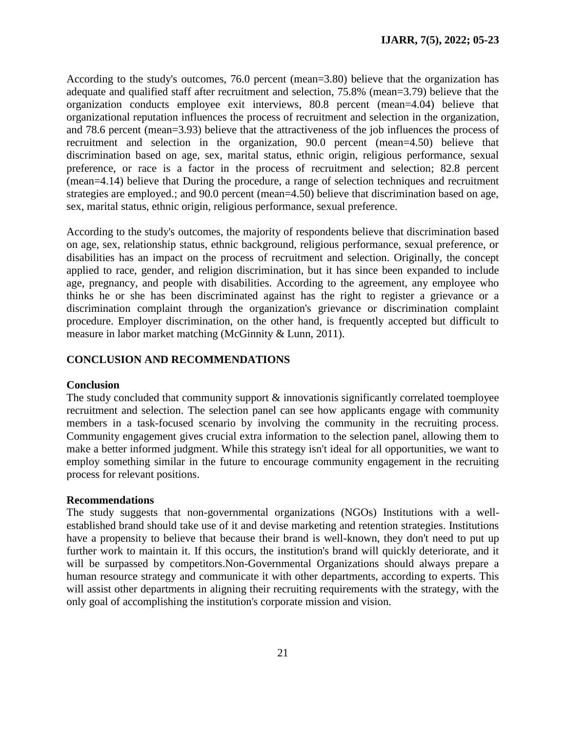According to the study's outcomes, 76.0 percent (mean=3.80) believe that the organization has adequate and qualified staff after recruitment and selection, 75.8% (mean=3.79) believe that the organization conducts employee exit interviews, 80.8 percent (mean=4.04) believe that organizational reputation influences the process of recruitment and selection in the organization, and 78.6 percent (mean=3.93) believe that the attractiveness of the job influences the process of recruitment and selection in the organization, 90.0 percent (mean=4.50) believe that discrimination based on age, sex, marital status, ethnic origin, religious performance, sexual preference, or race is a factor in the process of recruitment and selection; 82.8 percent (mean=4.14) believe that During the procedure, a range of selection techniques and recruitment strategies are employed.; and 90.0 percent (mean=4.50) believe that discrimination based on age, sex, marital status, ethnic origin, religious performance, sexual preference.

According to the study's outcomes, the majority of respondents believe that discrimination based on age, sex, relationship status, ethnic background, religious performance, sexual preference, or disabilities has an impact on the process of recruitment and selection. Originally, the concept applied to race, gender, and religion discrimination, but it has since been expanded to include age, pregnancy, and people with disabilities. According to the agreement, any employee who thinks he or she has been discriminated against has the right to register a grievance or a discrimination complaint through the organization's grievance or discrimination complaint procedure. Employer discrimination, on the other hand, is frequently accepted but difficult to measure in labor market matching (McGinnity & Lunn, 2011).

### **CONCLUSION AND RECOMMENDATIONS**

#### **Conclusion**

The study concluded that community support  $\&$  innovationis significantly correlated toemployee recruitment and selection. The selection panel can see how applicants engage with community members in a task-focused scenario by involving the community in the recruiting process. Community engagement gives crucial extra information to the selection panel, allowing them to make a better informed judgment. While this strategy isn't ideal for all opportunities, we want to employ something similar in the future to encourage community engagement in the recruiting process for relevant positions.

#### **Recommendations**

The study suggests that non-governmental organizations (NGOs) Institutions with a wellestablished brand should take use of it and devise marketing and retention strategies. Institutions have a propensity to believe that because their brand is well-known, they don't need to put up further work to maintain it. If this occurs, the institution's brand will quickly deteriorate, and it will be surpassed by competitors.Non-Governmental Organizations should always prepare a human resource strategy and communicate it with other departments, according to experts. This will assist other departments in aligning their recruiting requirements with the strategy, with the only goal of accomplishing the institution's corporate mission and vision.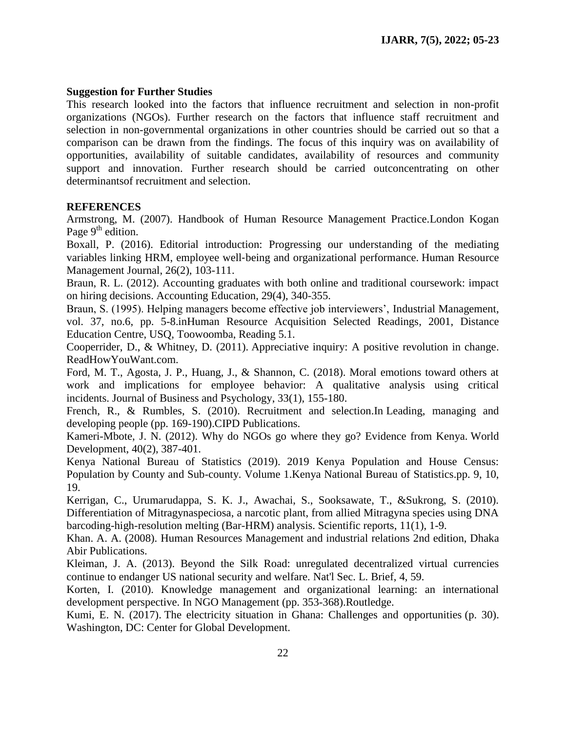# **Suggestion for Further Studies**

This research looked into the factors that influence recruitment and selection in non-profit organizations (NGOs). Further research on the factors that influence staff recruitment and selection in non-governmental organizations in other countries should be carried out so that a comparison can be drawn from the findings. The focus of this inquiry was on availability of opportunities, availability of suitable candidates, availability of resources and community support and innovation. Further research should be carried outconcentrating on other determinantsof recruitment and selection.

# **REFERENCES**

Armstrong, M. (2007). Handbook of Human Resource Management Practice.London Kogan Page  $9<sup>th</sup>$  edition.

Boxall, P. (2016). Editorial introduction: Progressing our understanding of the mediating variables linking HRM, employee well-being and organizational performance. Human Resource Management Journal, 26(2), 103-111.

Braun, R. L. (2012). Accounting graduates with both online and traditional coursework: impact on hiring decisions. Accounting Education, 29(4), 340-355.

Braun, S. (1995). Helping managers become effective job interviewers', Industrial Management, vol. 37, no.6, pp. 5-8.inHuman Resource Acquisition Selected Readings, 2001, Distance Education Centre, USQ, Toowoomba, Reading 5.1.

Cooperrider, D., & Whitney, D. (2011). Appreciative inquiry: A positive revolution in change. ReadHowYouWant.com.

Ford, M. T., Agosta, J. P., Huang, J., & Shannon, C. (2018). Moral emotions toward others at work and implications for employee behavior: A qualitative analysis using critical incidents. Journal of Business and Psychology, 33(1), 155-180.

French, R., & Rumbles, S. (2010). Recruitment and selection.In Leading, managing and developing people (pp. 169-190).CIPD Publications.

Kameri-Mbote, J. N. (2012). Why do NGOs go where they go? Evidence from Kenya. World Development, 40(2), 387-401.

Kenya National Bureau of Statistics (2019). 2019 Kenya Population and House Census: Population by County and Sub-county. Volume 1.Kenya National Bureau of Statistics.pp. 9, 10, 19.

Kerrigan, C., Urumarudappa, S. K. J., Awachai, S., Sooksawate, T., &Sukrong, S. (2010). Differentiation of Mitragynaspeciosa, a narcotic plant, from allied Mitragyna species using DNA barcoding-high-resolution melting (Bar-HRM) analysis. Scientific reports, 11(1), 1-9.

Khan. A. A. (2008). Human Resources Management and industrial relations 2nd edition, Dhaka Abir Publications.

Kleiman, J. A. (2013). Beyond the Silk Road: unregulated decentralized virtual currencies continue to endanger US national security and welfare. Nat'l Sec. L. Brief, 4, 59.

Korten, I. (2010). Knowledge management and organizational learning: an international development perspective. In NGO Management (pp. 353-368).Routledge.

Kumi, E. N. (2017). The electricity situation in Ghana: Challenges and opportunities (p. 30). Washington, DC: Center for Global Development.